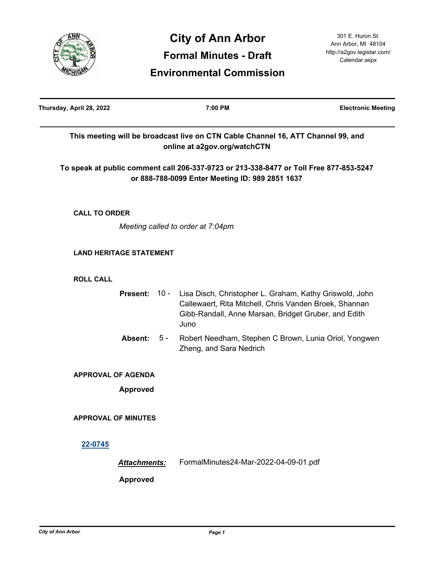

| Thursday, April 28, 2022       |                     |       | 7:00 PM                                                                                                                                                                           | <b>Electronic Meeting</b> |
|--------------------------------|---------------------|-------|-----------------------------------------------------------------------------------------------------------------------------------------------------------------------------------|---------------------------|
|                                |                     |       | This meeting will be broadcast live on CTN Cable Channel 16, ATT Channel 99, and<br>online at a2gov.org/watchCTN                                                                  |                           |
|                                |                     |       | To speak at public comment call 206-337-9723 or 213-338-8477 or Toll Free 877-853-5247<br>or 888-788-0099 Enter Meeting ID: 989 2851 1637                                         |                           |
| <b>CALL TO ORDER</b>           |                     |       |                                                                                                                                                                                   |                           |
|                                |                     |       | Meeting called to order at 7:04pm                                                                                                                                                 |                           |
| <b>LAND HERITAGE STATEMENT</b> |                     |       |                                                                                                                                                                                   |                           |
| <b>ROLL CALL</b>               |                     |       |                                                                                                                                                                                   |                           |
|                                | <b>Present:</b>     | 10 -  | Lisa Disch, Christopher L. Graham, Kathy Griswold, John<br>Callewaert, Rita Mitchell, Chris Vanden Broek, Shannan<br>Gibb-Randall, Anne Marsan, Bridget Gruber, and Edith<br>Juno |                           |
|                                | Absent:             | $5 -$ | Robert Needham, Stephen C Brown, Lunia Oriol, Yongwen<br>Zheng, and Sara Nedrich                                                                                                  |                           |
| <b>APPROVAL OF AGENDA</b>      |                     |       |                                                                                                                                                                                   |                           |
|                                | <b>Approved</b>     |       |                                                                                                                                                                                   |                           |
| <b>APPROVAL OF MINUTES</b>     |                     |       |                                                                                                                                                                                   |                           |
| 22-0745                        |                     |       |                                                                                                                                                                                   |                           |
|                                | <b>Attachments:</b> |       | FormalMinutes24-Mar-2022-04-09-01.pdf                                                                                                                                             |                           |
|                                | <b>Approved</b>     |       |                                                                                                                                                                                   |                           |
|                                |                     |       |                                                                                                                                                                                   |                           |
|                                |                     |       |                                                                                                                                                                                   |                           |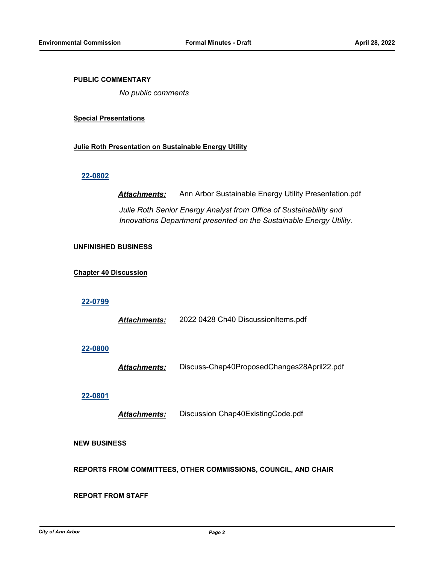### **PUBLIC COMMENTARY**

*No public comments*

### **Special Presentations**

**Julie Roth Presentation on Sustainable Energy Utility**

# **[22-0802](http://a2gov.legistar.com/gateway.aspx?M=L&ID=29979)**

*Attachments:* Ann Arbor Sustainable Energy Utility Presentation.pdf *Julie Roth Senior Energy Analyst from Office of Sustainability and Innovations Department presented on the Sustainable Energy Utility.*

### **UNFINISHED BUSINESS**

**Chapter 40 Discussion**

# **[22-0799](http://a2gov.legistar.com/gateway.aspx?M=L&ID=29976)**

*Attachments:* 2022 0428 Ch40 DiscussionItems.pdf

#### **[22-0800](http://a2gov.legistar.com/gateway.aspx?M=L&ID=29977)**

*Attachments:* Discuss-Chap40ProposedChanges28April22.pdf

#### **[22-0801](http://a2gov.legistar.com/gateway.aspx?M=L&ID=29978)**

*Attachments:* Discussion Chap40ExistingCode.pdf

### **NEW BUSINESS**

**REPORTS FROM COMMITTEES, OTHER COMMISSIONS, COUNCIL, AND CHAIR**

### **REPORT FROM STAFF**